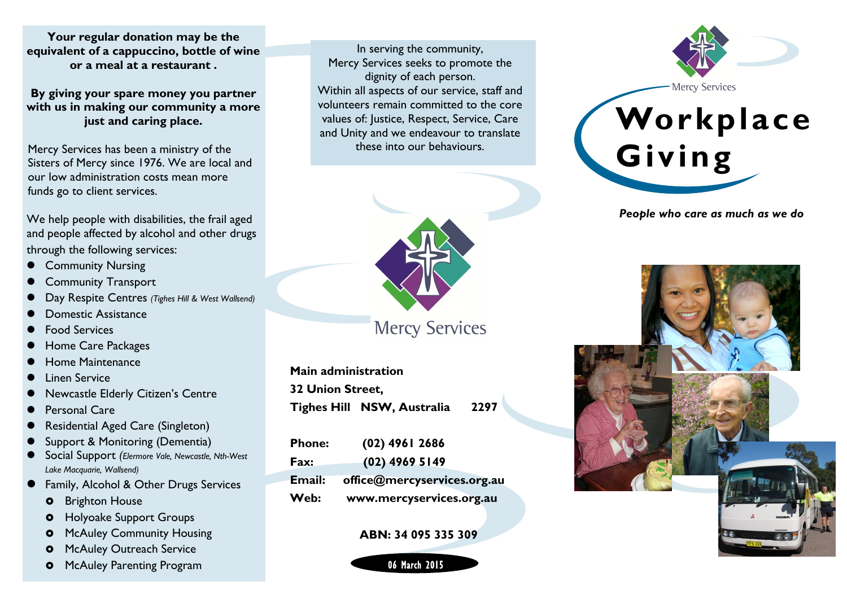**Your regular donation may be the equivalent of a cappuccino, bottle of wine or a meal at a restaurant .** 

**By giving your spare money you partner with us in making our community a more just and caring place.**

Mercy Services has been a ministry of the Sisters of Mercy since 1976. We are local and our low administration costs mean more funds go to client services.

We help people with disabilities, the frail aged and people affected by alcohol and other drugs through the following services:

- Community Nursing
- Community Transport
- Day Respite Centres *(Tighes Hill & West Wallsend)*
- Domestic Assistance
- Food Services
- Home Care Packages
- Home Maintenance
- Linen Service
- Newcastle Elderly Citizen's Centre
- Personal Care
- Residential Aged Care (Singleton)
- Support & Monitoring (Dementia)
- Social Support *(Elermore Vale, Newcastle, Nth-West Lake Macquarie, Wallsend)*
- Family, Alcohol & Other Drugs Services
	- **o** Brighton House
	- **o** Holyoake Support Groups
	- **o** McAuley Community Housing
	- **o** McAuley Outreach Service
	- **o** McAuley Parenting Program

In serving the community, Mercy Services seeks to promote the dignity of each person. Within all aspects of our service, staff and volunteers remain committed to the core values of: Justice, Respect, Service, Care and Unity and we endeavour to translate these into our behaviours.



**Mercy Services** 

**Main administration 32 Union Street, Tighes Hill NSW, Australia 2297**

| <b>Phone:</b> | $(02)$ 4961 2686            |
|---------------|-----------------------------|
| Fax:          | $(02)$ 4969 5149            |
| Email:        | office@mercyservices.org.au |
| Web:          | www.mercyservices.org.au    |

#### **ABN: 34 095 335 309**





*People who care as much as we do*